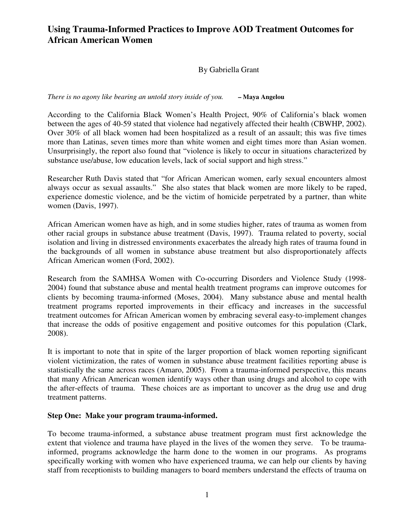By Gabriella Grant

*There is no agony like bearing an untold story inside of you.* **– Maya Angelou**

According to the California Black Women's Health Project, 90% of California's black women between the ages of 40-59 stated that violence had negatively affected their health (CBWHP, 2002). Over 30% of all black women had been hospitalized as a result of an assault; this was five times more than Latinas, seven times more than white women and eight times more than Asian women. Unsurprisingly, the report also found that "violence is likely to occur in situations characterized by substance use/abuse, low education levels, lack of social support and high stress."

Researcher Ruth Davis stated that "for African American women, early sexual encounters almost always occur as sexual assaults." She also states that black women are more likely to be raped, experience domestic violence, and be the victim of homicide perpetrated by a partner, than white women (Davis, 1997).

African American women have as high, and in some studies higher, rates of trauma as women from other racial groups in substance abuse treatment (Davis, 1997). Trauma related to poverty, social isolation and living in distressed environments exacerbates the already high rates of trauma found in the backgrounds of all women in substance abuse treatment but also disproportionately affects African American women (Ford, 2002).

Research from the SAMHSA Women with Co-occurring Disorders and Violence Study (1998- 2004) found that substance abuse and mental health treatment programs can improve outcomes for clients by becoming trauma-informed (Moses, 2004). Many substance abuse and mental health treatment programs reported improvements in their efficacy and increases in the successful treatment outcomes for African American women by embracing several easy-to-implement changes that increase the odds of positive engagement and positive outcomes for this population (Clark, 2008).

It is important to note that in spite of the larger proportion of black women reporting significant violent victimization, the rates of women in substance abuse treatment facilities reporting abuse is statistically the same across races (Amaro, 2005). From a trauma-informed perspective, this means that many African American women identify ways other than using drugs and alcohol to cope with the after-effects of trauma. These choices are as important to uncover as the drug use and drug treatment patterns.

#### **Step One: Make your program trauma-informed.**

To become trauma-informed, a substance abuse treatment program must first acknowledge the extent that violence and trauma have played in the lives of the women they serve. To be traumainformed, programs acknowledge the harm done to the women in our programs. As programs specifically working with women who have experienced trauma, we can help our clients by having staff from receptionists to building managers to board members understand the effects of trauma on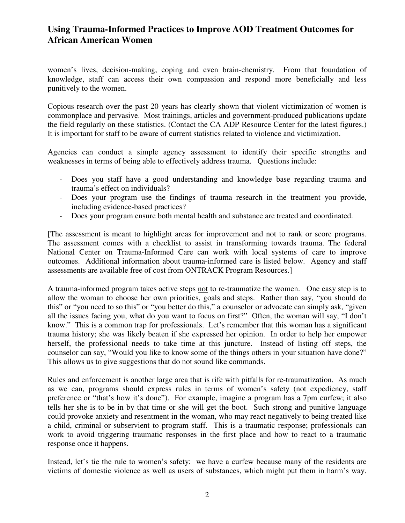women's lives, decision-making, coping and even brain-chemistry. From that foundation of knowledge, staff can access their own compassion and respond more beneficially and less punitively to the women.

Copious research over the past 20 years has clearly shown that violent victimization of women is commonplace and pervasive. Most trainings, articles and government-produced publications update the field regularly on these statistics. (Contact the CA ADP Resource Center for the latest figures.) It is important for staff to be aware of current statistics related to violence and victimization.

Agencies can conduct a simple agency assessment to identify their specific strengths and weaknesses in terms of being able to effectively address trauma. Questions include:

- Does you staff have a good understanding and knowledge base regarding trauma and trauma's effect on individuals?
- Does your program use the findings of trauma research in the treatment you provide, including evidence-based practices?
- Does your program ensure both mental health and substance are treated and coordinated.

[The assessment is meant to highlight areas for improvement and not to rank or score programs. The assessment comes with a checklist to assist in transforming towards trauma. The federal National Center on Trauma-Informed Care can work with local systems of care to improve outcomes. Additional information about trauma-informed care is listed below. Agency and staff assessments are available free of cost from ONTRACK Program Resources.]

A trauma-informed program takes active steps not to re-traumatize the women. One easy step is to allow the woman to choose her own priorities, goals and steps. Rather than say, "you should do this" or "you need to so this" or "you better do this," a counselor or advocate can simply ask, "given all the issues facing you, what do you want to focus on first?" Often, the woman will say, "I don't know." This is a common trap for professionals. Let's remember that this woman has a significant trauma history; she was likely beaten if she expressed her opinion. In order to help her empower herself, the professional needs to take time at this juncture. Instead of listing off steps, the counselor can say, "Would you like to know some of the things others in your situation have done?" This allows us to give suggestions that do not sound like commands.

Rules and enforcement is another large area that is rife with pitfalls for re-traumatization. As much as we can, programs should express rules in terms of women's safety (not expediency, staff preference or "that's how it's done"). For example, imagine a program has a 7pm curfew; it also tells her she is to be in by that time or she will get the boot. Such strong and punitive language could provoke anxiety and resentment in the woman, who may react negatively to being treated like a child, criminal or subservient to program staff. This is a traumatic response; professionals can work to avoid triggering traumatic responses in the first place and how to react to a traumatic response once it happens.

Instead, let's tie the rule to women's safety: we have a curfew because many of the residents are victims of domestic violence as well as users of substances, which might put them in harm's way.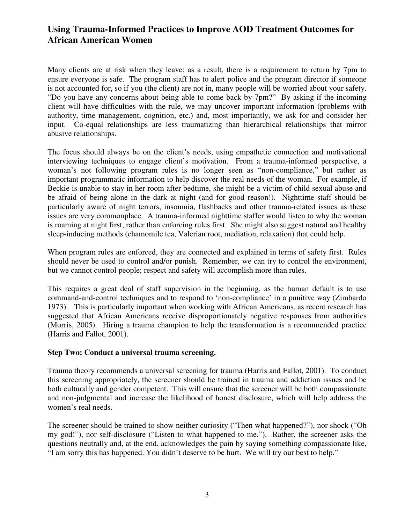Many clients are at risk when they leave; as a result, there is a requirement to return by 7pm to ensure everyone is safe. The program staff has to alert police and the program director if someone is not accounted for, so if you (the client) are not in, many people will be worried about your safety. "Do you have any concerns about being able to come back by 7pm?" By asking if the incoming client will have difficulties with the rule, we may uncover important information (problems with authority, time management, cognition, etc.) and, most importantly, we ask for and consider her input. Co-equal relationships are less traumatizing than hierarchical relationships that mirror abusive relationships.

The focus should always be on the client's needs, using empathetic connection and motivational interviewing techniques to engage client's motivation. From a trauma-informed perspective, a woman's not following program rules is no longer seen as "non-compliance," but rather as important programmatic information to help discover the real needs of the woman. For example, if Beckie is unable to stay in her room after bedtime, she might be a victim of child sexual abuse and be afraid of being alone in the dark at night (and for good reason!). Nighttime staff should be particularly aware of night terrors, insomnia, flashbacks and other trauma-related issues as these issues are very commonplace. A trauma-informed nighttime staffer would listen to why the woman is roaming at night first, rather than enforcing rules first. She might also suggest natural and healthy sleep-inducing methods (chamomile tea, Valerian root, mediation, relaxation) that could help.

When program rules are enforced, they are connected and explained in terms of safety first. Rules should never be used to control and/or punish. Remember, we can try to control the environment, but we cannot control people; respect and safety will accomplish more than rules.

This requires a great deal of staff supervision in the beginning, as the human default is to use command-and-control techniques and to respond to 'non-compliance' in a punitive way (Zimbardo 1973). This is particularly important when working with African Americans, as recent research has suggested that African Americans receive disproportionately negative responses from authorities (Morris, 2005). Hiring a trauma champion to help the transformation is a recommended practice (Harris and Fallot, 2001).

#### **Step Two: Conduct a universal trauma screening.**

Trauma theory recommends a universal screening for trauma (Harris and Fallot, 2001). To conduct this screening appropriately, the screener should be trained in trauma and addiction issues and be both culturally and gender competent. This will ensure that the screener will be both compassionate and non-judgmental and increase the likelihood of honest disclosure, which will help address the women's real needs.

The screener should be trained to show neither curiosity ("Then what happened?"), nor shock ("Oh my god!"), nor self-disclosure ("Listen to what happened to me."). Rather, the screener asks the questions neutrally and, at the end, acknowledges the pain by saying something compassionate like, "I am sorry this has happened. You didn't deserve to be hurt. We will try our best to help."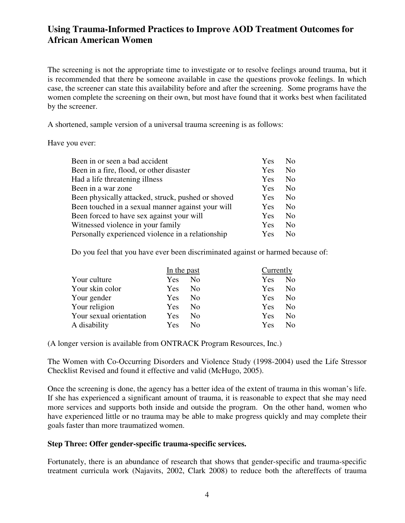The screening is not the appropriate time to investigate or to resolve feelings around trauma, but it is recommended that there be someone available in case the questions provoke feelings. In which case, the screener can state this availability before and after the screening. Some programs have the women complete the screening on their own, but most have found that it works best when facilitated by the screener.

A shortened, sample version of a universal trauma screening is as follows:

#### Have you ever:

| Been in a fire, flood, or other disaster<br>Yes<br>Had a life threatening illness<br>Yes<br>Been in a war zone<br>Yes<br>Been physically attacked, struck, pushed or shoved<br>Yes<br>Been touched in a sexual manner against your will<br>Yes<br>Been forced to have sex against your will<br>Yes<br>Witnessed violence in your family<br>Yes | No             |
|------------------------------------------------------------------------------------------------------------------------------------------------------------------------------------------------------------------------------------------------------------------------------------------------------------------------------------------------|----------------|
|                                                                                                                                                                                                                                                                                                                                                | N <sub>0</sub> |
|                                                                                                                                                                                                                                                                                                                                                | No             |
|                                                                                                                                                                                                                                                                                                                                                | No             |
|                                                                                                                                                                                                                                                                                                                                                | No             |
|                                                                                                                                                                                                                                                                                                                                                | No.            |
|                                                                                                                                                                                                                                                                                                                                                | No             |
|                                                                                                                                                                                                                                                                                                                                                | No             |
| Personally experienced violence in a relationship<br>Yes                                                                                                                                                                                                                                                                                       | No.            |

Do you feel that you have ever been discriminated against or harmed because of:

|                         | In the past |                | Currently |                |
|-------------------------|-------------|----------------|-----------|----------------|
| Your culture            | Yes         | N <sub>0</sub> | Yes       | N <sub>0</sub> |
| Your skin color         | Yes         | N <sub>0</sub> | Yes       | N <sub>0</sub> |
| Your gender             | Yes         | N <sub>0</sub> | Yes       | N <sub>0</sub> |
| Your religion           | Yes         | N <sub>0</sub> | Yes       | N <sub>0</sub> |
| Your sexual orientation | Yes         | N <sub>0</sub> | Yes       | N <sub>0</sub> |
| A disability            | Yes         | N <sub>0</sub> | Yes       | N <sub>o</sub> |
|                         |             |                |           |                |

(A longer version is available from ONTRACK Program Resources, Inc.)

The Women with Co-Occurring Disorders and Violence Study (1998-2004) used the Life Stressor Checklist Revised and found it effective and valid (McHugo, 2005).

Once the screening is done, the agency has a better idea of the extent of trauma in this woman's life. If she has experienced a significant amount of trauma, it is reasonable to expect that she may need more services and supports both inside and outside the program. On the other hand, women who have experienced little or no trauma may be able to make progress quickly and may complete their goals faster than more traumatized women.

### **Step Three: Offer gender-specific trauma-specific services.**

Fortunately, there is an abundance of research that shows that gender-specific and trauma-specific treatment curricula work (Najavits, 2002, Clark 2008) to reduce both the aftereffects of trauma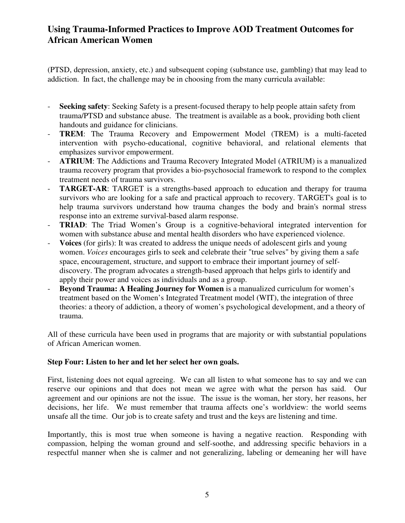(PTSD, depression, anxiety, etc.) and subsequent coping (substance use, gambling) that may lead to addiction. In fact, the challenge may be in choosing from the many curricula available:

- **Seeking safety**: Seeking Safety is a present-focused therapy to help people attain safety from trauma/PTSD and substance abuse. The treatment is available as a book, providing both client handouts and guidance for clinicians.
- **TREM**: The Trauma Recovery and Empowerment Model (TREM) is a multi-faceted intervention with psycho-educational, cognitive behavioral, and relational elements that emphasizes survivor empowerment.
- **ATRIUM**: The Addictions and Trauma Recovery Integrated Model (ATRIUM) is a manualized trauma recovery program that provides a bio-psychosocial framework to respond to the complex treatment needs of trauma survivors.
- **TARGET-AR:** TARGET is a strengths-based approach to education and therapy for trauma survivors who are looking for a safe and practical approach to recovery. TARGET's goal is to help trauma survivors understand how trauma changes the body and brain's normal stress response into an extreme survival-based alarm response.
- **TRIAD:** The Triad Women's Group is a cognitive-behavioral integrated intervention for women with substance abuse and mental health disorders who have experienced violence.
- **Voices** (for girls): It was created to address the unique needs of adolescent girls and young women. *Voices* encourages girls to seek and celebrate their "true selves" by giving them a safe space, encouragement, structure, and support to embrace their important journey of selfdiscovery. The program advocates a strength-based approach that helps girls to identify and apply their power and voices as individuals and as a group.
- **Beyond Trauma: A Healing Journey for Women** is a manualized curriculum for women's treatment based on the Women's Integrated Treatment model (WIT), the integration of three theories: a theory of addiction, a theory of women's psychological development, and a theory of trauma.

All of these curricula have been used in programs that are majority or with substantial populations of African American women.

### **Step Four: Listen to her and let her select her own goals.**

First, listening does not equal agreeing. We can all listen to what someone has to say and we can reserve our opinions and that does not mean we agree with what the person has said. Our agreement and our opinions are not the issue. The issue is the woman, her story, her reasons, her decisions, her life. We must remember that trauma affects one's worldview: the world seems unsafe all the time. Our job is to create safety and trust and the keys are listening and time.

Importantly, this is most true when someone is having a negative reaction. Responding with compassion, helping the woman ground and self-soothe, and addressing specific behaviors in a respectful manner when she is calmer and not generalizing, labeling or demeaning her will have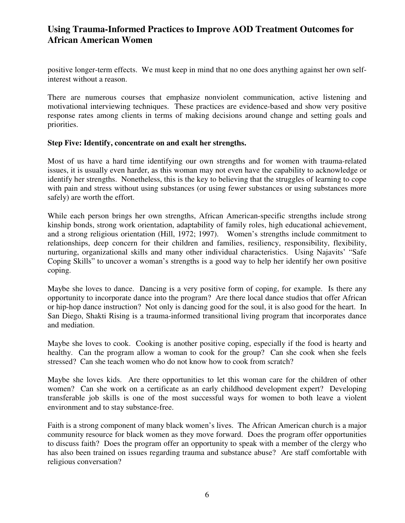positive longer-term effects. We must keep in mind that no one does anything against her own selfinterest without a reason.

There are numerous courses that emphasize nonviolent communication, active listening and motivational interviewing techniques. These practices are evidence-based and show very positive response rates among clients in terms of making decisions around change and setting goals and priorities.

#### **Step Five: Identify, concentrate on and exalt her strengths.**

Most of us have a hard time identifying our own strengths and for women with trauma-related issues, it is usually even harder, as this woman may not even have the capability to acknowledge or identify her strengths. Nonetheless, this is the key to believing that the struggles of learning to cope with pain and stress without using substances (or using fewer substances or using substances more safely) are worth the effort.

While each person brings her own strengths, African American-specific strengths include strong kinship bonds, strong work orientation, adaptability of family roles, high educational achievement, and a strong religious orientation (Hill, 1972; 1997). Women's strengths include commitment to relationships, deep concern for their children and families, resiliency, responsibility, flexibility, nurturing, organizational skills and many other individual characteristics. Using Najavits' "Safe Coping Skills" to uncover a woman's strengths is a good way to help her identify her own positive coping.

Maybe she loves to dance. Dancing is a very positive form of coping, for example. Is there any opportunity to incorporate dance into the program? Are there local dance studios that offer African or hip-hop dance instruction? Not only is dancing good for the soul, it is also good for the heart. In San Diego, Shakti Rising is a trauma-informed transitional living program that incorporates dance and mediation.

Maybe she loves to cook. Cooking is another positive coping, especially if the food is hearty and healthy. Can the program allow a woman to cook for the group? Can she cook when she feels stressed? Can she teach women who do not know how to cook from scratch?

Maybe she loves kids. Are there opportunities to let this woman care for the children of other women? Can she work on a certificate as an early childhood development expert? Developing transferable job skills is one of the most successful ways for women to both leave a violent environment and to stay substance-free.

Faith is a strong component of many black women's lives. The African American church is a major community resource for black women as they move forward. Does the program offer opportunities to discuss faith? Does the program offer an opportunity to speak with a member of the clergy who has also been trained on issues regarding trauma and substance abuse? Are staff comfortable with religious conversation?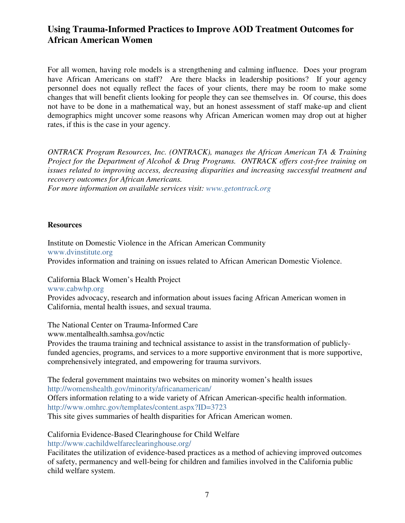For all women, having role models is a strengthening and calming influence. Does your program have African Americans on staff? Are there blacks in leadership positions? If your agency personnel does not equally reflect the faces of your clients, there may be room to make some changes that will benefit clients looking for people they can see themselves in. Of course, this does not have to be done in a mathematical way, but an honest assessment of staff make-up and client demographics might uncover some reasons why African American women may drop out at higher rates, if this is the case in your agency.

*ONTRACK Program Resources, Inc. (ONTRACK), manages the African American TA & Training Project for the Department of Alcohol & Drug Programs. ONTRACK offers cost-free training on issues related to improving access, decreasing disparities and increasing successful treatment and recovery outcomes for African Americans.* 

*For more information on available services visit: www.getontrack.org*

#### **Resources**

Institute on Domestic Violence in the African American Community www.dvinstitute.org Provides information and training on issues related to African American Domestic Violence.

California Black Women's Health Project

www.cabwhp.org

Provides advocacy, research and information about issues facing African American women in California, mental health issues, and sexual trauma.

The National Center on Trauma-Informed Care

www.mentalhealth.samhsa.gov/nctic

Provides the trauma training and technical assistance to assist in the transformation of publiclyfunded agencies, programs, and services to a more supportive environment that is more supportive, comprehensively integrated, and empowering for trauma survivors.

The federal government maintains two websites on minority women's health issues http://womenshealth.gov/minority/africanamerican/ Offers information relating to a wide variety of African American-specific health information. http://www.omhrc.gov/templates/content.aspx?ID=3723 This site gives summaries of health disparities for African American women.

California Evidence-Based Clearinghouse for Child Welfare

http://www.cachildwelfareclearinghouse.org/

Facilitates the utilization of evidence-based practices as a method of achieving improved outcomes of safety, permanency and well-being for children and families involved in the California public child welfare system.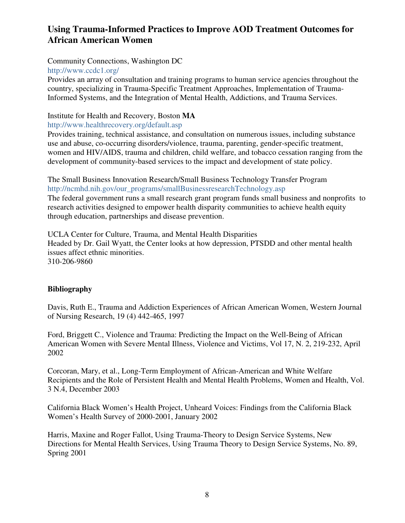#### Community Connections, Washington DC

#### http://www.ccdc1.org/

Provides an array of consultation and training programs to human service agencies throughout the country, specializing in Trauma-Specific Treatment Approaches, Implementation of Trauma-Informed Systems, and the Integration of Mental Health, Addictions, and Trauma Services.

#### Institute for Health and Recovery, Boston **MA**

http://www.healthrecovery.org/default.asp

Provides training, technical assistance, and consultation on numerous issues, including substance use and abuse, co-occurring disorders/violence, trauma, parenting, gender-specific treatment, women and HIV/AIDS, trauma and children, child welfare, and tobacco cessation ranging from the development of community-based services to the impact and development of state policy.

The Small Business Innovation Research/Small Business Technology Transfer Program http://ncmhd.nih.gov/our\_programs/smallBusinessresearchTechnology.asp

The federal government runs a small research grant program funds small business and nonprofits to research activities designed to empower health disparity communities to achieve health equity through education, partnerships and disease prevention.

UCLA Center for Culture, Trauma, and Mental Health Disparities Headed by Dr. Gail Wyatt, the Center looks at how depression, PTSDD and other mental health issues affect ethnic minorities. 310-206-9860

### **Bibliography**

Davis, Ruth E., Trauma and Addiction Experiences of African American Women, Western Journal of Nursing Research, 19 (4) 442-465, 1997

Ford, Briggett C., Violence and Trauma: Predicting the Impact on the Well-Being of African American Women with Severe Mental Illness, Violence and Victims, Vol 17, N. 2, 219-232, April 2002

Corcoran, Mary, et al., Long-Term Employment of African-American and White Welfare Recipients and the Role of Persistent Health and Mental Health Problems, Women and Health, Vol. 3 N.4, December 2003

California Black Women's Health Project, Unheard Voices: Findings from the California Black Women's Health Survey of 2000-2001, January 2002

Harris, Maxine and Roger Fallot, Using Trauma-Theory to Design Service Systems, New Directions for Mental Health Services, Using Trauma Theory to Design Service Systems, No. 89, Spring 2001